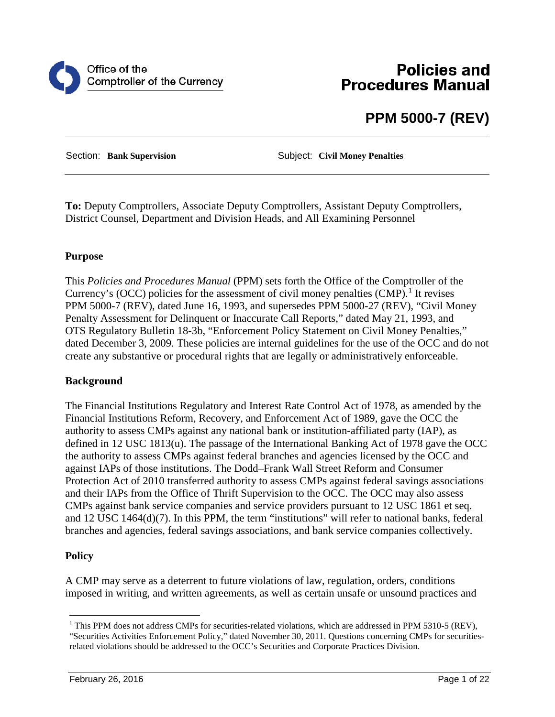

# **Policies and Procedures Manual**

# **PPM 5000-7 (REV)**

Section: **Bank Supervision** Subject: **Civil Money Penalties**

**To:** Deputy Comptrollers, Associate Deputy Comptrollers, Assistant Deputy Comptrollers, District Counsel, Department and Division Heads, and All Examining Personnel

## **Purpose**

This *Policies and Procedures Manual* (PPM) sets forth the Office of the Comptroller of the Currency's (OCC) policies for the assessment of civil money penalties  $(CMP)$ .<sup>[1](#page-0-0)</sup> It revises PPM 5000-7 (REV), dated June 16, 1993, and supersedes PPM 5000-27 (REV), "Civil Money Penalty Assessment for Delinquent or Inaccurate Call Reports," dated May 21, 1993, and OTS Regulatory Bulletin 18-3b, "Enforcement Policy Statement on Civil Money Penalties," dated December 3, 2009. These policies are internal guidelines for the use of the OCC and do not create any substantive or procedural rights that are legally or administratively enforceable.

## **Background**

The Financial Institutions Regulatory and Interest Rate Control Act of 1978, as amended by the Financial Institutions Reform, Recovery, and Enforcement Act of 1989, gave the OCC the authority to assess CMPs against any national bank or institution-affiliated party (IAP), as defined in 12 USC 1813(u). The passage of the International Banking Act of 1978 gave the OCC the authority to assess CMPs against federal branches and agencies licensed by the OCC and against IAPs of those institutions. The Dodd–Frank Wall Street Reform and Consumer Protection Act of 2010 transferred authority to assess CMPs against federal savings associations and their IAPs from the Office of Thrift Supervision to the OCC. The OCC may also assess CMPs against bank service companies and service providers pursuant to 12 USC 1861 et seq. and 12 USC 1464(d)(7). In this PPM, the term "institutions" will refer to national banks, federal branches and agencies, federal savings associations, and bank service companies collectively.

## **Policy**

A CMP may serve as a deterrent to future violations of law, regulation, orders, conditions imposed in writing, and written agreements, as well as certain unsafe or unsound practices and

<span id="page-0-0"></span><sup>&</sup>lt;sup>1</sup> This PPM does not address CMPs for securities-related violations, which are addressed in PPM 5310-5 (REV), "Securities Activities Enforcement Policy," dated November 30, 2011. Questions concerning CMPs for securitiesrelated violations should be addressed to the OCC's Securities and Corporate Practices Division.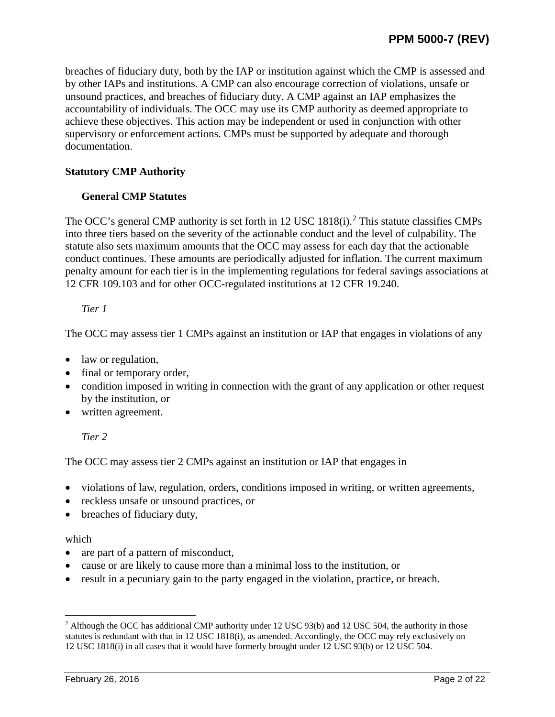breaches of fiduciary duty, both by the IAP or institution against which the CMP is assessed and by other IAPs and institutions. A CMP can also encourage correction of violations, unsafe or unsound practices, and breaches of fiduciary duty. A CMP against an IAP emphasizes the accountability of individuals. The OCC may use its CMP authority as deemed appropriate to achieve these objectives. This action may be independent or used in conjunction with other supervisory or enforcement actions. CMPs must be supported by adequate and thorough documentation.

## **Statutory CMP Authority**

## **General CMP Statutes**

The OCC's general CMP authority is set forth in 1[2](#page-1-0) USC 1818(i).<sup>2</sup> This statute classifies CMPs into three tiers based on the severity of the actionable conduct and the level of culpability. The statute also sets maximum amounts that the OCC may assess for each day that the actionable conduct continues. These amounts are periodically adjusted for inflation. The current maximum penalty amount for each tier is in the implementing regulations for federal savings associations at 12 CFR 109.103 and for other OCC-regulated institutions at 12 CFR 19.240.

## *Tier 1*

The OCC may assess tier 1 CMPs against an institution or IAP that engages in violations of any

- law or regulation,
- final or temporary order,
- condition imposed in writing in connection with the grant of any application or other request by the institution, or
- written agreement.

*Tier 2*

The OCC may assess tier 2 CMPs against an institution or IAP that engages in

- violations of law, regulation, orders, conditions imposed in writing, or written agreements,
- reckless unsafe or unsound practices, or
- breaches of fiduciary duty,

## which

- are part of a pattern of misconduct,
- cause or are likely to cause more than a minimal loss to the institution, or
- result in a pecuniary gain to the party engaged in the violation, practice, or breach.

<span id="page-1-0"></span><sup>&</sup>lt;sup>2</sup> Although the OCC has additional CMP authority under 12 USC 93(b) and 12 USC 504, the authority in those statutes is redundant with that in 12 USC 1818(i), as amended. Accordingly, the OCC may rely exclusively on 12 USC 1818(i) in all cases that it would have formerly brought under 12 USC 93(b) or 12 USC 504.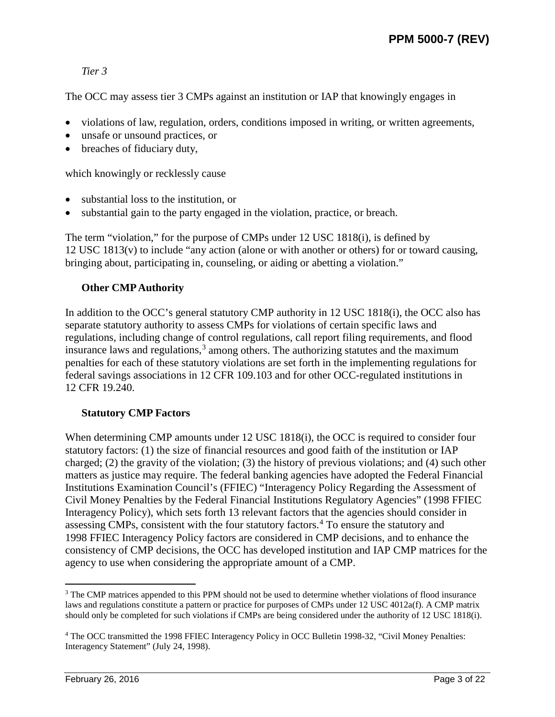## *Tier 3*

The OCC may assess tier 3 CMPs against an institution or IAP that knowingly engages in

- violations of law, regulation, orders, conditions imposed in writing, or written agreements,
- unsafe or unsound practices, or
- breaches of fiduciary duty,

which knowingly or recklessly cause

- substantial loss to the institution, or
- substantial gain to the party engaged in the violation, practice, or breach.

The term "violation," for the purpose of CMPs under 12 USC 1818(i), is defined by 12 USC 1813(v) to include "any action (alone or with another or others) for or toward causing, bringing about, participating in, counseling, or aiding or abetting a violation."

## **Other CMPAuthority**

In addition to the OCC's general statutory CMP authority in 12 USC 1818(i), the OCC also has separate statutory authority to assess CMPs for violations of certain specific laws and regulations, including change of control regulations, call report filing requirements, and flood insurance laws and regulations, $3 \text{ among others}$  $3 \text{ among others}$ . The authorizing statutes and the maximum penalties for each of these statutory violations are set forth in the implementing regulations for federal savings associations in 12 CFR 109.103 and for other OCC-regulated institutions in 12 CFR 19.240.

## **Statutory CMP Factors**

When determining CMP amounts under 12 USC 1818(i), the OCC is required to consider four statutory factors: (1) the size of financial resources and good faith of the institution or IAP charged; (2) the gravity of the violation; (3) the history of previous violations; and (4) such other matters as justice may require. The federal banking agencies have adopted the Federal Financial Institutions Examination Council's (FFIEC) "Interagency Policy Regarding the Assessment of Civil Money Penalties by the Federal Financial Institutions Regulatory Agencies" (1998 FFIEC Interagency Policy), which sets forth 13 relevant factors that the agencies should consider in assessing CMPs, consistent with the four statutory factors.[4](#page-2-1) To ensure the statutory and 1998 FFIEC Interagency Policy factors are considered in CMP decisions, and to enhance the consistency of CMP decisions, the OCC has developed institution and IAP CMP matrices for the agency to use when considering the appropriate amount of a CMP.

<span id="page-2-0"></span><sup>&</sup>lt;sup>3</sup> The CMP matrices appended to this PPM should not be used to determine whether violations of flood insurance laws and regulations constitute a pattern or practice for purposes of CMPs under 12 USC 4012a(f). A CMP matrix should only be completed for such violations if CMPs are being considered under the authority of 12 USC 1818(i).

<span id="page-2-1"></span><sup>4</sup> The OCC transmitted the 1998 FFIEC Interagency Policy in OCC Bulletin 1998-32, "Civil Money Penalties: Interagency Statement" (July 24, 1998).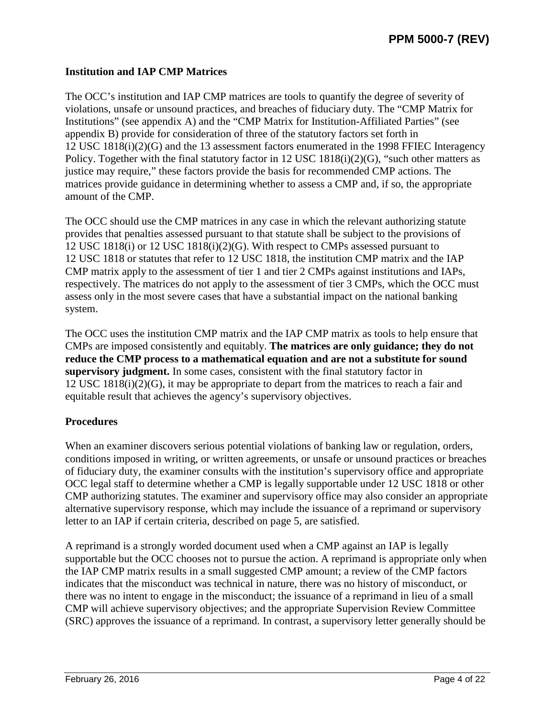## **Institution and IAP CMP Matrices**

The OCC's institution and IAP CMP matrices are tools to quantify the degree of severity of violations, unsafe or unsound practices, and breaches of fiduciary duty. The "CMP Matrix for Institutions" (see appendix A) and the "CMP Matrix for Institution-Affiliated Parties" (see appendix B) provide for consideration of three of the statutory factors set forth in 12 USC 1818(i)(2)(G) and the 13 assessment factors enumerated in the 1998 FFIEC Interagency Policy. Together with the final statutory factor in 12 USC 1818(i)(2)(G), "such other matters as justice may require," these factors provide the basis for recommended CMP actions. The matrices provide guidance in determining whether to assess a CMP and, if so, the appropriate amount of the CMP.

The OCC should use the CMP matrices in any case in which the relevant authorizing statute provides that penalties assessed pursuant to that statute shall be subject to the provisions of 12 USC 1818(i) or 12 USC 1818(i)(2)(G). With respect to CMPs assessed pursuant to 12 USC 1818 or statutes that refer to 12 USC 1818, the institution CMP matrix and the IAP CMP matrix apply to the assessment of tier 1 and tier 2 CMPs against institutions and IAPs, respectively. The matrices do not apply to the assessment of tier 3 CMPs, which the OCC must assess only in the most severe cases that have a substantial impact on the national banking system.

The OCC uses the institution CMP matrix and the IAP CMP matrix as tools to help ensure that CMPs are imposed consistently and equitably. **The matrices are only guidance; they do not reduce the CMP process to a mathematical equation and are not a substitute for sound supervisory judgment.** In some cases, consistent with the final statutory factor in 12 USC 1818(i)(2)(G), it may be appropriate to depart from the matrices to reach a fair and equitable result that achieves the agency's supervisory objectives.

## **Procedures**

When an examiner discovers serious potential violations of banking law or regulation, orders, conditions imposed in writing, or written agreements, or unsafe or unsound practices or breaches of fiduciary duty, the examiner consults with the institution's supervisory office and appropriate OCC legal staff to determine whether a CMP is legally supportable under 12 USC 1818 or other CMP authorizing statutes. The examiner and supervisory office may also consider an appropriate alternative supervisory response, which may include the issuance of a reprimand or supervisory letter to an IAP if certain criteria, described on page 5, are satisfied.

A reprimand is a strongly worded document used when a CMP against an IAP is legally supportable but the OCC chooses not to pursue the action. A reprimand is appropriate only when the IAP CMP matrix results in a small suggested CMP amount; a review of the CMP factors indicates that the misconduct was technical in nature, there was no history of misconduct, or there was no intent to engage in the misconduct; the issuance of a reprimand in lieu of a small CMP will achieve supervisory objectives; and the appropriate Supervision Review Committee (SRC) approves the issuance of a reprimand. In contrast, a supervisory letter generally should be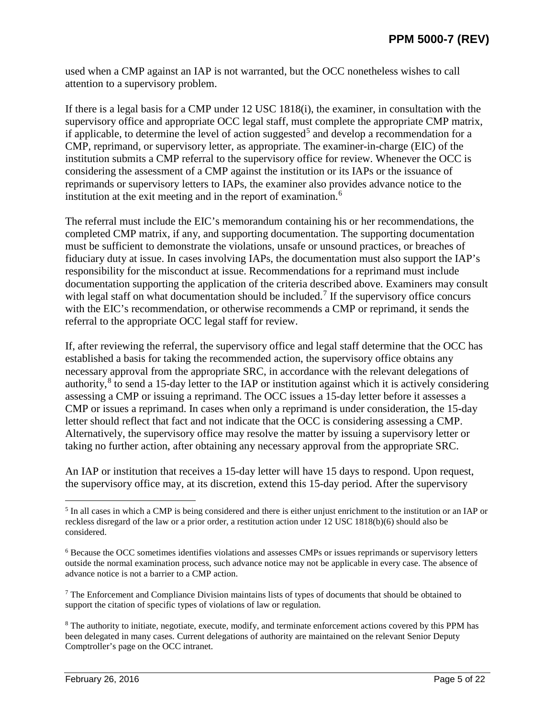used when a CMP against an IAP is not warranted, but the OCC nonetheless wishes to call attention to a supervisory problem.

If there is a legal basis for a CMP under 12 USC 1818(i), the examiner, in consultation with the supervisory office and appropriate OCC legal staff, must complete the appropriate CMP matrix, if applicable, to determine the level of action suggested<sup>[5](#page-4-0)</sup> and develop a recommendation for a CMP, reprimand, or supervisory letter, as appropriate. The examiner-in-charge (EIC) of the institution submits a CMP referral to the supervisory office for review. Whenever the OCC is considering the assessment of a CMP against the institution or its IAPs or the issuance of reprimands or supervisory letters to IAPs, the examiner also provides advance notice to the institution at the exit meeting and in the report of examination.[6](#page-4-1)

The referral must include the EIC's memorandum containing his or her recommendations, the completed CMP matrix, if any, and supporting documentation. The supporting documentation must be sufficient to demonstrate the violations, unsafe or unsound practices, or breaches of fiduciary duty at issue. In cases involving IAPs, the documentation must also support the IAP's responsibility for the misconduct at issue. Recommendations for a reprimand must include documentation supporting the application of the criteria described above. Examiners may consult with legal staff on what documentation should be included.<sup>[7](#page-4-2)</sup> If the supervisory office concurs with the EIC's recommendation, or otherwise recommends a CMP or reprimand, it sends the referral to the appropriate OCC legal staff for review.

If, after reviewing the referral, the supervisory office and legal staff determine that the OCC has established a basis for taking the recommended action, the supervisory office obtains any necessary approval from the appropriate SRC, in accordance with the relevant delegations of authority,<sup>[8](#page-4-3)</sup> to send a 15-day letter to the IAP or institution against which it is actively considering assessing a CMP or issuing a reprimand. The OCC issues a 15-day letter before it assesses a CMP or issues a reprimand. In cases when only a reprimand is under consideration, the 15-day letter should reflect that fact and not indicate that the OCC is considering assessing a CMP. Alternatively, the supervisory office may resolve the matter by issuing a supervisory letter or taking no further action, after obtaining any necessary approval from the appropriate SRC.

An IAP or institution that receives a 15-day letter will have 15 days to respond. Upon request, the supervisory office may, at its discretion, extend this 15-day period. After the supervisory

<span id="page-4-0"></span><sup>&</sup>lt;sup>5</sup> In all cases in which a CMP is being considered and there is either unjust enrichment to the institution or an IAP or reckless disregard of the law or a prior order, a restitution action under 12 USC 1818(b)(6) should also be considered.

<span id="page-4-1"></span><sup>6</sup> Because the OCC sometimes identifies violations and assesses CMPs or issues reprimands or supervisory letters outside the normal examination process, such advance notice may not be applicable in every case. The absence of advance notice is not a barrier to a CMP action.

<span id="page-4-2"></span><sup>&</sup>lt;sup>7</sup> The Enforcement and Compliance Division maintains lists of types of documents that should be obtained to support the citation of specific types of violations of law or regulation.

<span id="page-4-3"></span><sup>8</sup> The authority to initiate, negotiate, execute, modify, and terminate enforcement actions covered by this PPM has been delegated in many cases. Current delegations of authority are maintained on the relevant Senior Deputy Comptroller's page on the OCC intranet.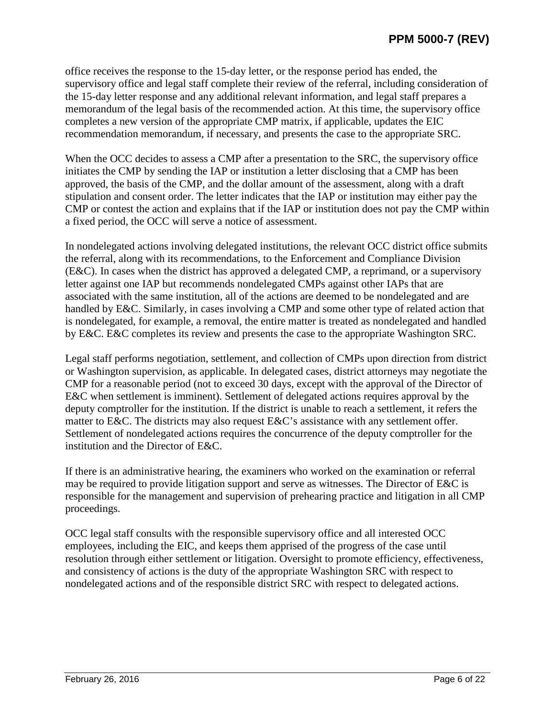office receives the response to the 15-day letter, or the response period has ended, the supervisory office and legal staff complete their review of the referral, including consideration of the 15-day letter response and any additional relevant information, and legal staff prepares a memorandum of the legal basis of the recommended action. At this time, the supervisory office completes a new version of the appropriate CMP matrix, if applicable, updates the EIC recommendation memorandum, if necessary, and presents the case to the appropriate SRC.

When the OCC decides to assess a CMP after a presentation to the SRC, the supervisory office initiates the CMP by sending the IAP or institution a letter disclosing that a CMP has been approved, the basis of the CMP, and the dollar amount of the assessment, along with a draft stipulation and consent order. The letter indicates that the IAP or institution may either pay the CMP or contest the action and explains that if the IAP or institution does not pay the CMP within a fixed period, the OCC will serve a notice of assessment.

In nondelegated actions involving delegated institutions, the relevant OCC district office submits the referral, along with its recommendations, to the Enforcement and Compliance Division (E&C). In cases when the district has approved a delegated CMP, a reprimand, or a supervisory letter against one IAP but recommends nondelegated CMPs against other IAPs that are associated with the same institution, all of the actions are deemed to be nondelegated and are handled by E&C. Similarly, in cases involving a CMP and some other type of related action that is nondelegated, for example, a removal, the entire matter is treated as nondelegated and handled by E&C. E&C completes its review and presents the case to the appropriate Washington SRC.

Legal staff performs negotiation, settlement, and collection of CMPs upon direction from district or Washington supervision, as applicable. In delegated cases, district attorneys may negotiate the CMP for a reasonable period (not to exceed 30 days, except with the approval of the Director of E&C when settlement is imminent). Settlement of delegated actions requires approval by the deputy comptroller for the institution. If the district is unable to reach a settlement, it refers the matter to E&C. The districts may also request E&C's assistance with any settlement offer. Settlement of nondelegated actions requires the concurrence of the deputy comptroller for the institution and the Director of E&C.

If there is an administrative hearing, the examiners who worked on the examination or referral may be required to provide litigation support and serve as witnesses. The Director of E&C is responsible for the management and supervision of prehearing practice and litigation in all CMP proceedings.

OCC legal staff consults with the responsible supervisory office and all interested OCC employees, including the EIC, and keeps them apprised of the progress of the case until resolution through either settlement or litigation. Oversight to promote efficiency, effectiveness, and consistency of actions is the duty of the appropriate Washington SRC with respect to nondelegated actions and of the responsible district SRC with respect to delegated actions.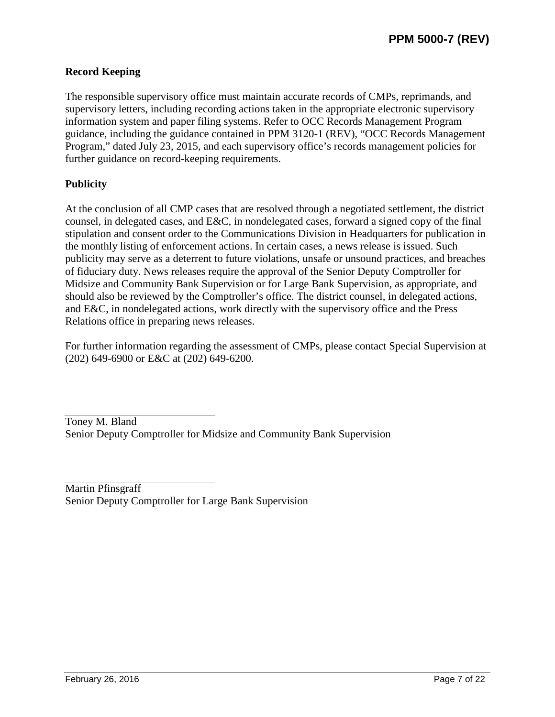## **Record Keeping**

The responsible supervisory office must maintain accurate records of CMPs, reprimands, and supervisory letters, including recording actions taken in the appropriate electronic supervisory information system and paper filing systems. Refer to OCC Records Management Program guidance, including the guidance contained in PPM 3120-1 (REV), "OCC Records Management Program," dated July 23, 2015, and each supervisory office's records management policies for further guidance on record-keeping requirements.

## **Publicity**

At the conclusion of all CMP cases that are resolved through a negotiated settlement, the district counsel, in delegated cases, and E&C, in nondelegated cases, forward a signed copy of the final stipulation and consent order to the Communications Division in Headquarters for publication in the monthly listing of enforcement actions. In certain cases, a news release is issued. Such publicity may serve as a deterrent to future violations, unsafe or unsound practices, and breaches of fiduciary duty. News releases require the approval of the Senior Deputy Comptroller for Midsize and Community Bank Supervision or for Large Bank Supervision, as appropriate, and should also be reviewed by the Comptroller's office. The district counsel, in delegated actions, and E&C, in nondelegated actions, work directly with the supervisory office and the Press Relations office in preparing news releases.

For further information regarding the assessment of CMPs, please contact Special Supervision at (202) 649-6900 or E&C at (202) 649-6200.

Toney M. Bland Senior Deputy Comptroller for Midsize and Community Bank Supervision

Martin Pfinsgraff Senior Deputy Comptroller for Large Bank Supervision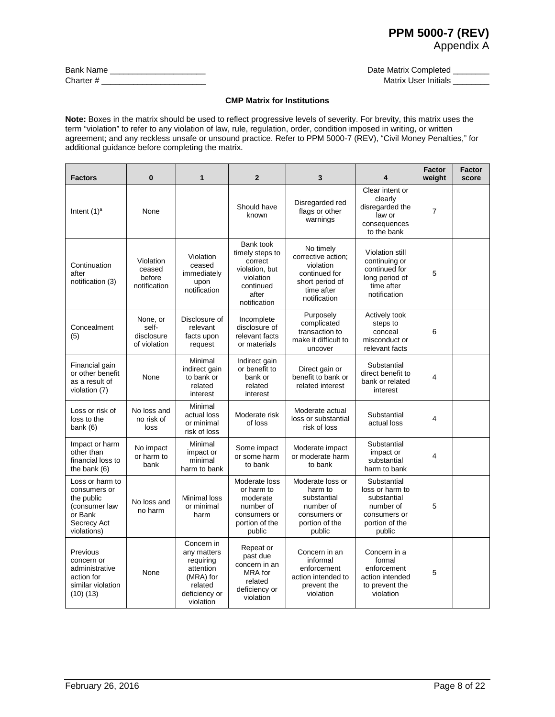# **PPM 5000-7 (REV)**

Date Matrix Completed \_\_\_\_\_\_\_\_ Matrix User Initials **Water** 

Appendix A

| <b>Bank Name</b> |  |
|------------------|--|
| Charter #        |  |

#### **CMP Matrix for Institutions**

**Note:** Boxes in the matrix should be used to reflect progressive levels of severity. For brevity, this matrix uses the term "violation" to refer to any violation of law, rule, regulation, order, condition imposed in writing, or written agreement; and any reckless unsafe or unsound practice. Refer to PPM 5000-7 (REV), "Civil Money Penalties," for additional guidance before completing the matrix.

| <b>Factors</b>                                                                                          | 0                                               | 1                                                                                                         | $\mathbf{2}$                                                                                                 | 3                                                                                                              | 4                                                                                                      | <b>Factor</b><br>weight | <b>Factor</b><br>score |
|---------------------------------------------------------------------------------------------------------|-------------------------------------------------|-----------------------------------------------------------------------------------------------------------|--------------------------------------------------------------------------------------------------------------|----------------------------------------------------------------------------------------------------------------|--------------------------------------------------------------------------------------------------------|-------------------------|------------------------|
| Intent $(1)^a$                                                                                          | None                                            |                                                                                                           | Should have<br>known                                                                                         | Disregarded red<br>flags or other<br>warnings                                                                  | Clear intent or<br>clearly<br>disregarded the<br>law or<br>consequences<br>to the bank                 | $\overline{7}$          |                        |
| Continuation<br>after<br>notification (3)                                                               | Violation<br>ceased<br>before<br>notification   | Violation<br>ceased<br>immediately<br>upon<br>notification                                                | Bank took<br>timely steps to<br>correct<br>violation, but<br>violation<br>continued<br>after<br>notification | No timely<br>corrective action:<br>violation<br>continued for<br>short period of<br>time after<br>notification | Violation still<br>continuing or<br>continued for<br>long period of<br>time after<br>notification      | 5                       |                        |
| Concealment<br>(5)                                                                                      | None, or<br>self-<br>disclosure<br>of violation | Disclosure of<br>relevant<br>facts upon<br>request                                                        | Incomplete<br>disclosure of<br>relevant facts<br>or materials                                                | Purposely<br>complicated<br>transaction to<br>make it difficult to<br>uncover                                  | Actively took<br>steps to<br>conceal<br>misconduct or<br>relevant facts                                | 6                       |                        |
| Financial gain<br>or other benefit<br>as a result of<br>violation (7)                                   | None                                            | Minimal<br>indirect gain<br>to bank or<br>related<br>interest                                             | Indirect gain<br>or benefit to<br>bank or<br>related<br>interest                                             | Direct gain or<br>benefit to bank or<br>related interest                                                       | Substantial<br>direct benefit to<br>bank or related<br>interest                                        | 4                       |                        |
| Loss or risk of<br>loss to the<br>bank $(6)$                                                            | No loss and<br>no risk of<br>loss               | Minimal<br>actual loss<br>or minimal<br>risk of loss                                                      | Moderate risk<br>of loss                                                                                     | Moderate actual<br>loss or substantial<br>risk of loss                                                         | Substantial<br>actual loss                                                                             | 4                       |                        |
| Impact or harm<br>other than<br>financial loss to<br>the bank $(6)$                                     | No impact<br>or harm to<br>bank                 | Minimal<br>impact or<br>minimal<br>harm to bank                                                           | Some impact<br>or some harm<br>to bank                                                                       | Moderate impact<br>or moderate harm<br>to bank                                                                 | Substantial<br>impact or<br>substantial<br>harm to bank                                                | 4                       |                        |
| Loss or harm to<br>consumers or<br>the public<br>(consumer law<br>or Bank<br>Secrecy Act<br>violations) | No loss and<br>no harm                          | Minimal loss<br>or minimal<br>harm                                                                        | Moderate loss<br>or harm to<br>moderate<br>number of<br>consumers or<br>portion of the<br>public             | Moderate loss or<br>harm to<br>substantial<br>number of<br>consumers or<br>portion of the<br>public            | Substantial<br>loss or harm to<br>substantial<br>number of<br>consumers or<br>portion of the<br>public | 5                       |                        |
| Previous<br>concern or<br>administrative<br>action for<br>similar violation<br>(10)(13)                 | None                                            | Concern in<br>any matters<br>requiring<br>attention<br>(MRA) for<br>related<br>deficiency or<br>violation | Repeat or<br>past due<br>concern in an<br><b>MRA</b> for<br>related<br>deficiency or<br>violation            | Concern in an<br>informal<br>enforcement<br>action intended to<br>prevent the<br>violation                     | Concern in a<br>formal<br>enforcement<br>action intended<br>to prevent the<br>violation                | 5                       |                        |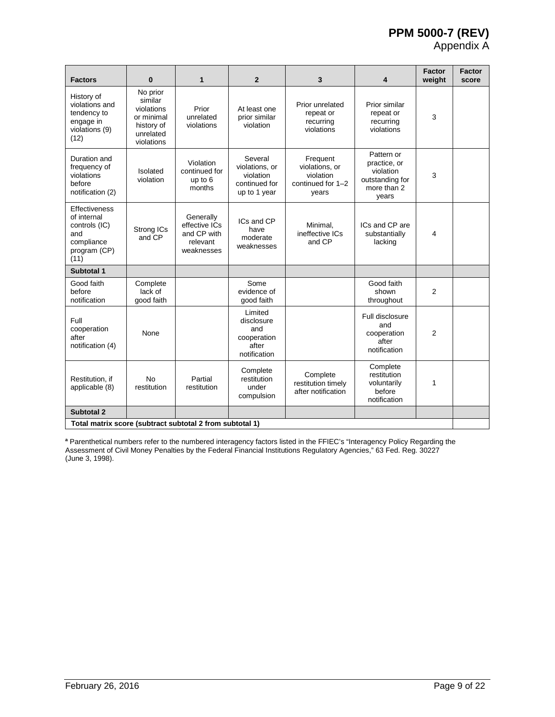## **PPM 5000-7 (REV)**

Appendix A

| <b>Factors</b>                                                                             | $\bf{0}$                                                                                 | $\mathbf{1}$                                                        | $\mathbf{2}$                                                            | 3                                                                     | 4                                                                                  | <b>Factor</b><br>weight | <b>Factor</b><br>score |
|--------------------------------------------------------------------------------------------|------------------------------------------------------------------------------------------|---------------------------------------------------------------------|-------------------------------------------------------------------------|-----------------------------------------------------------------------|------------------------------------------------------------------------------------|-------------------------|------------------------|
| History of<br>violations and<br>tendency to<br>engage in<br>violations (9)<br>(12)         | No prior<br>similar<br>violations<br>or minimal<br>history of<br>unrelated<br>violations | Prior<br>unrelated<br>violations                                    | At least one<br>prior similar<br>violation                              | Prior unrelated<br>repeat or<br>recurring<br>violations               | Prior similar<br>repeat or<br>recurring<br>violations                              | 3                       |                        |
| Duration and<br>frequency of<br>violations<br>before<br>notification (2)                   | Isolated<br>violation                                                                    | Violation<br>continued for<br>up to 6<br>months                     | Several<br>violations, or<br>violation<br>continued for<br>up to 1 year | Frequent<br>violations, or<br>violation<br>continued for 1-2<br>years | Pattern or<br>practice, or<br>violation<br>outstanding for<br>more than 2<br>vears | 3                       |                        |
| Effectiveness<br>of internal<br>controls (IC)<br>and<br>compliance<br>program (CP)<br>(11) | Strong ICs<br>and CP                                                                     | Generally<br>effective ICs<br>and CP with<br>relevant<br>weaknesses | ICs and CP<br>have<br>moderate<br>weaknesses                            | Minimal,<br>ineffective ICs<br>and CP                                 | ICs and CP are<br>substantially<br>lacking                                         | 4                       |                        |
| Subtotal 1                                                                                 |                                                                                          |                                                                     |                                                                         |                                                                       |                                                                                    |                         |                        |
| Good faith<br>before<br>notification                                                       | Complete<br>lack of<br>good faith                                                        |                                                                     | Some<br>evidence of<br>good faith                                       |                                                                       | Good faith<br>shown<br>throughout                                                  | $\overline{2}$          |                        |
| Full<br>cooperation<br>after<br>notification (4)                                           | None                                                                                     |                                                                     | Limited<br>disclosure<br>and<br>cooperation<br>after<br>notification    |                                                                       | Full disclosure<br>and<br>cooperation<br>after<br>notification                     | $\overline{2}$          |                        |
| Restitution, if<br>applicable (8)                                                          | <b>No</b><br>restitution                                                                 | Partial<br>restitution                                              | Complete<br>restitution<br>under<br>compulsion                          | Complete<br>restitution timely<br>after notification                  | Complete<br>restitution<br>voluntarily<br>before<br>notification                   | 1                       |                        |
| Subtotal 2                                                                                 |                                                                                          |                                                                     |                                                                         |                                                                       |                                                                                    |                         |                        |
| Total matrix score (subtract subtotal 2 from subtotal 1)                                   |                                                                                          |                                                                     |                                                                         |                                                                       |                                                                                    |                         |                        |

**<sup>a</sup>** Parenthetical numbers refer to the numbered interagency factors listed in the FFIEC's "Interagency Policy Regarding the Assessment of Civil Money Penalties by the Federal Financial Institutions Regulatory Agencies," 63 Fed. Reg. 30227 (June 3, 1998).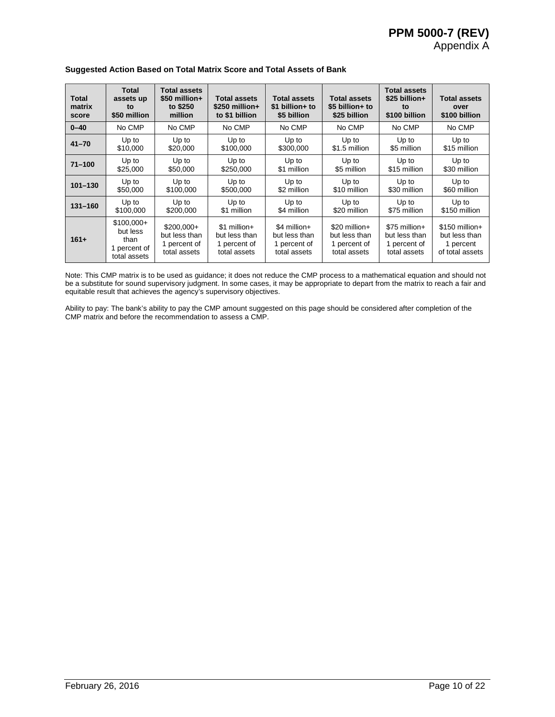Appendix A

| <b>Total</b><br>matrix<br>score | <b>Total</b><br>assets up<br>to<br>\$50 million                 | <b>Total assets</b><br>$$50$ million+<br>to \$250<br>million | <b>Total assets</b><br>\$250 million+<br>to \$1 billion         | <b>Total assets</b><br>\$1 billion+ to<br>\$5 billion          | <b>Total assets</b><br>\$5 billion+ to<br>\$25 billion         | <b>Total assets</b><br>\$25 billion+<br>to<br>\$100 billion     | <b>Total assets</b><br>over<br>\$100 billion                     |
|---------------------------------|-----------------------------------------------------------------|--------------------------------------------------------------|-----------------------------------------------------------------|----------------------------------------------------------------|----------------------------------------------------------------|-----------------------------------------------------------------|------------------------------------------------------------------|
| $0 - 40$                        | No CMP                                                          | No CMP                                                       | No CMP                                                          | No CMP                                                         | No CMP                                                         | No CMP                                                          | No CMP                                                           |
| $41 - 70$                       | Up to                                                           | Up to                                                        | Up to                                                           | Up to                                                          | Up to                                                          | Up to                                                           | Up to                                                            |
|                                 | \$10,000                                                        | \$20,000                                                     | \$100,000                                                       | \$300,000                                                      | \$1.5 million                                                  | \$5 million                                                     | \$15 million                                                     |
| $71 - 100$                      | Up to                                                           | Up to                                                        | Up to                                                           | Up to                                                          | Up to                                                          | Up to                                                           | Up to                                                            |
|                                 | \$25,000                                                        | \$50,000                                                     | \$250,000                                                       | \$1 million                                                    | \$5 million                                                    | \$15 million                                                    | \$30 million                                                     |
| $101 - 130$                     | Up to                                                           | Up to                                                        | Up to                                                           | Up to                                                          | Up to                                                          | Up to                                                           | Up to                                                            |
|                                 | \$50,000                                                        | \$100,000                                                    | \$500,000                                                       | \$2 million                                                    | \$10 million                                                   | \$30 million                                                    | \$60 million                                                     |
| $131 - 160$                     | Up to                                                           | Up to                                                        | Up to                                                           | Up to                                                          | Up to                                                          | Up to                                                           | Up to                                                            |
|                                 | \$100,000                                                       | \$200,000                                                    | \$1 million                                                     | \$4 million                                                    | \$20 million                                                   | \$75 million                                                    | \$150 million                                                    |
| $161+$                          | $$100,000+$<br>but less<br>than<br>1 percent of<br>total assets | $$200.000+$<br>but less than<br>1 percent of<br>total assets | $$1$ million +<br>but less than<br>1 percent of<br>total assets | $$4$ million+<br>but less than<br>1 percent of<br>total assets | \$20 million+<br>but less than<br>1 percent of<br>total assets | $$75$ million+<br>but less than<br>1 percent of<br>total assets | $$150$ million+<br>but less than<br>1 percent<br>of total assets |

#### **Suggested Action Based on Total Matrix Score and Total Assets of Bank**

Note: This CMP matrix is to be used as guidance; it does not reduce the CMP process to a mathematical equation and should not be a substitute for sound supervisory judgment. In some cases, it may be appropriate to depart from the matrix to reach a fair and equitable result that achieves the agency's supervisory objectives.

Ability to pay: The bank's ability to pay the CMP amount suggested on this page should be considered after completion of the CMP matrix and before the recommendation to assess a CMP.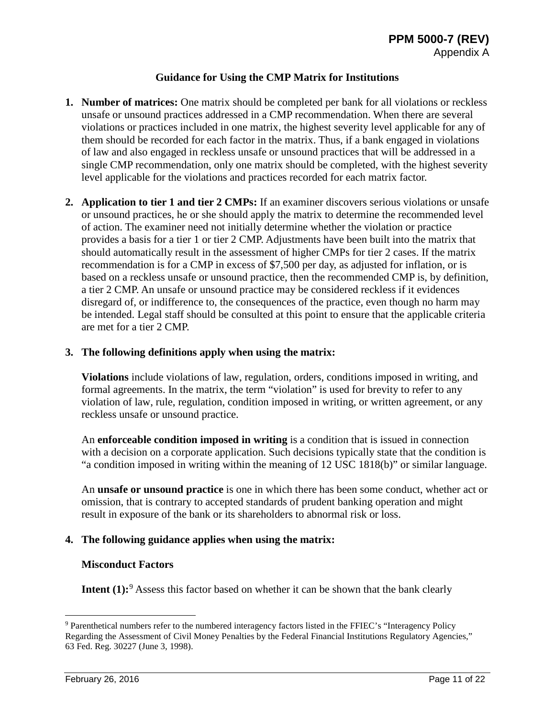## **Guidance for Using the CMP Matrix for Institutions**

- **1. Number of matrices:** One matrix should be completed per bank for all violations or reckless unsafe or unsound practices addressed in a CMP recommendation. When there are several violations or practices included in one matrix, the highest severity level applicable for any of them should be recorded for each factor in the matrix. Thus, if a bank engaged in violations of law and also engaged in reckless unsafe or unsound practices that will be addressed in a single CMP recommendation, only one matrix should be completed, with the highest severity level applicable for the violations and practices recorded for each matrix factor.
- **2. Application to tier 1 and tier 2 CMPs:** If an examiner discovers serious violations or unsafe or unsound practices, he or she should apply the matrix to determine the recommended level of action. The examiner need not initially determine whether the violation or practice provides a basis for a tier 1 or tier 2 CMP. Adjustments have been built into the matrix that should automatically result in the assessment of higher CMPs for tier 2 cases. If the matrix recommendation is for a CMP in excess of \$7,500 per day, as adjusted for inflation, or is based on a reckless unsafe or unsound practice, then the recommended CMP is, by definition, a tier 2 CMP. An unsafe or unsound practice may be considered reckless if it evidences disregard of, or indifference to, the consequences of the practice, even though no harm may be intended. Legal staff should be consulted at this point to ensure that the applicable criteria are met for a tier 2 CMP.

## **3. The following definitions apply when using the matrix:**

**Violations** include violations of law, regulation, orders, conditions imposed in writing, and formal agreements. In the matrix, the term "violation" is used for brevity to refer to any violation of law, rule, regulation, condition imposed in writing, or written agreement, or any reckless unsafe or unsound practice.

An **enforceable condition imposed in writing** is a condition that is issued in connection with a decision on a corporate application. Such decisions typically state that the condition is "a condition imposed in writing within the meaning of 12 USC 1818(b)" or similar language.

An **unsafe or unsound practice** is one in which there has been some conduct, whether act or omission, that is contrary to accepted standards of prudent banking operation and might result in exposure of the bank or its shareholders to abnormal risk or loss.

## **4. The following guidance applies when using the matrix:**

### **Misconduct Factors**

**Intent (1):**<sup>[9](#page-10-0)</sup> Assess this factor based on whether it can be shown that the bank clearly

<span id="page-10-0"></span> <sup>9</sup> Parenthetical numbers refer to the numbered interagency factors listed in the FFIEC's "Interagency Policy Regarding the Assessment of Civil Money Penalties by the Federal Financial Institutions Regulatory Agencies," 63 Fed. Reg. 30227 (June 3, 1998).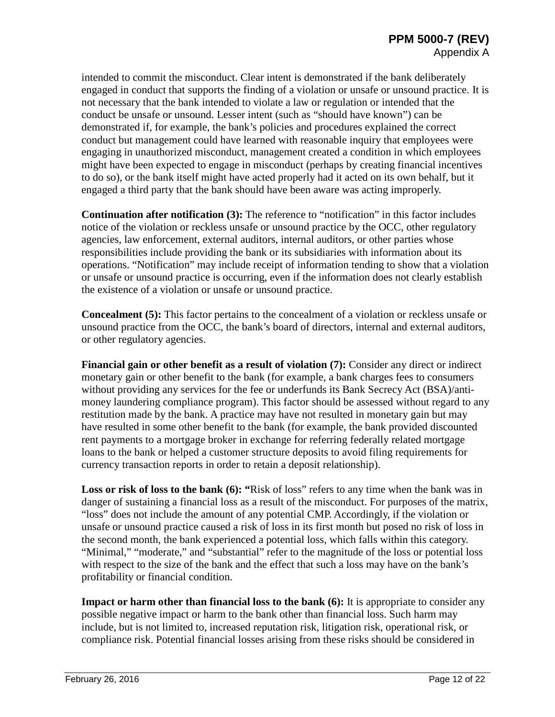intended to commit the misconduct. Clear intent is demonstrated if the bank deliberately engaged in conduct that supports the finding of a violation or unsafe or unsound practice. It is not necessary that the bank intended to violate a law or regulation or intended that the conduct be unsafe or unsound. Lesser intent (such as "should have known") can be demonstrated if, for example, the bank's policies and procedures explained the correct conduct but management could have learned with reasonable inquiry that employees were engaging in unauthorized misconduct, management created a condition in which employees might have been expected to engage in misconduct (perhaps by creating financial incentives to do so), or the bank itself might have acted properly had it acted on its own behalf, but it engaged a third party that the bank should have been aware was acting improperly.

**Continuation after notification (3):** The reference to "notification" in this factor includes notice of the violation or reckless unsafe or unsound practice by the OCC, other regulatory agencies, law enforcement, external auditors, internal auditors, or other parties whose responsibilities include providing the bank or its subsidiaries with information about its operations. "Notification" may include receipt of information tending to show that a violation or unsafe or unsound practice is occurring, even if the information does not clearly establish the existence of a violation or unsafe or unsound practice.

**Concealment (5):** This factor pertains to the concealment of a violation or reckless unsafe or unsound practice from the OCC, the bank's board of directors, internal and external auditors, or other regulatory agencies.

**Financial gain or other benefit as a result of violation (7):** Consider any direct or indirect monetary gain or other benefit to the bank (for example, a bank charges fees to consumers without providing any services for the fee or underfunds its Bank Secrecy Act (BSA)/antimoney laundering compliance program). This factor should be assessed without regard to any restitution made by the bank. A practice may have not resulted in monetary gain but may have resulted in some other benefit to the bank (for example, the bank provided discounted rent payments to a mortgage broker in exchange for referring federally related mortgage loans to the bank or helped a customer structure deposits to avoid filing requirements for currency transaction reports in order to retain a deposit relationship).

Loss or risk of loss to the bank (6): "Risk of loss" refers to any time when the bank was in danger of sustaining a financial loss as a result of the misconduct. For purposes of the matrix, "loss" does not include the amount of any potential CMP. Accordingly, if the violation or unsafe or unsound practice caused a risk of loss in its first month but posed no risk of loss in the second month, the bank experienced a potential loss, which falls within this category. "Minimal," "moderate," and "substantial" refer to the magnitude of the loss or potential loss with respect to the size of the bank and the effect that such a loss may have on the bank's profitability or financial condition.

**Impact or harm other than financial loss to the bank (6):** It is appropriate to consider any possible negative impact or harm to the bank other than financial loss. Such harm may include, but is not limited to, increased reputation risk, litigation risk, operational risk, or compliance risk. Potential financial losses arising from these risks should be considered in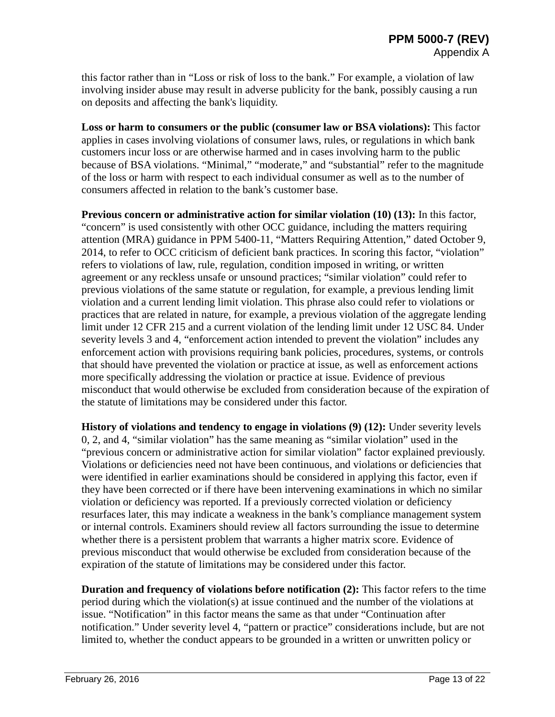this factor rather than in "Loss or risk of loss to the bank." For example, a violation of law involving insider abuse may result in adverse publicity for the bank, possibly causing a run on deposits and affecting the bank's liquidity.

**Loss or harm to consumers or the public (consumer law or BSA violations):** This factor applies in cases involving violations of consumer laws, rules, or regulations in which bank customers incur loss or are otherwise harmed and in cases involving harm to the public because of BSA violations. "Minimal," "moderate," and "substantial" refer to the magnitude of the loss or harm with respect to each individual consumer as well as to the number of consumers affected in relation to the bank's customer base.

**Previous concern or administrative action for similar violation (10) (13):** In this factor, "concern" is used consistently with other OCC guidance, including the matters requiring attention (MRA) guidance in PPM 5400-11, "Matters Requiring Attention," dated October 9, 2014, to refer to OCC criticism of deficient bank practices. In scoring this factor, "violation" refers to violations of law, rule, regulation, condition imposed in writing, or written agreement or any reckless unsafe or unsound practices; "similar violation" could refer to previous violations of the same statute or regulation, for example, a previous lending limit violation and a current lending limit violation. This phrase also could refer to violations or practices that are related in nature, for example, a previous violation of the aggregate lending limit under 12 CFR 215 and a current violation of the lending limit under 12 USC 84. Under severity levels 3 and 4, "enforcement action intended to prevent the violation" includes any enforcement action with provisions requiring bank policies, procedures, systems, or controls that should have prevented the violation or practice at issue, as well as enforcement actions more specifically addressing the violation or practice at issue. Evidence of previous misconduct that would otherwise be excluded from consideration because of the expiration of the statute of limitations may be considered under this factor.

**History of violations and tendency to engage in violations (9) (12):** Under severity levels 0, 2, and 4, "similar violation" has the same meaning as "similar violation" used in the "previous concern or administrative action for similar violation" factor explained previously. Violations or deficiencies need not have been continuous, and violations or deficiencies that were identified in earlier examinations should be considered in applying this factor, even if they have been corrected or if there have been intervening examinations in which no similar violation or deficiency was reported. If a previously corrected violation or deficiency resurfaces later, this may indicate a weakness in the bank's compliance management system or internal controls. Examiners should review all factors surrounding the issue to determine whether there is a persistent problem that warrants a higher matrix score. Evidence of previous misconduct that would otherwise be excluded from consideration because of the expiration of the statute of limitations may be considered under this factor.

**Duration and frequency of violations before notification (2):** This factor refers to the time period during which the violation(s) at issue continued and the number of the violations at issue. "Notification" in this factor means the same as that under "Continuation after notification." Under severity level 4, "pattern or practice" considerations include, but are not limited to, whether the conduct appears to be grounded in a written or unwritten policy or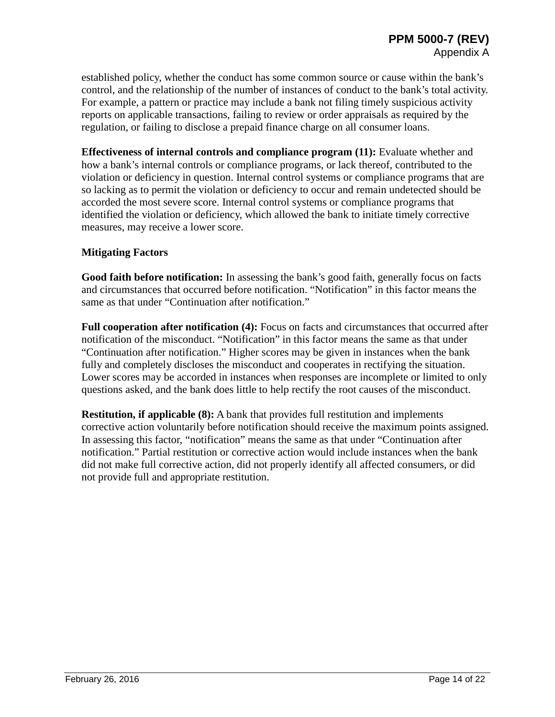established policy, whether the conduct has some common source or cause within the bank's control, and the relationship of the number of instances of conduct to the bank's total activity. For example, a pattern or practice may include a bank not filing timely suspicious activity reports on applicable transactions, failing to review or order appraisals as required by the regulation, or failing to disclose a prepaid finance charge on all consumer loans.

**Effectiveness of internal controls and compliance program (11):** Evaluate whether and how a bank's internal controls or compliance programs, or lack thereof, contributed to the violation or deficiency in question. Internal control systems or compliance programs that are so lacking as to permit the violation or deficiency to occur and remain undetected should be accorded the most severe score. Internal control systems or compliance programs that identified the violation or deficiency, which allowed the bank to initiate timely corrective measures, may receive a lower score.

## **Mitigating Factors**

**Good faith before notification:** In assessing the bank's good faith, generally focus on facts and circumstances that occurred before notification. "Notification" in this factor means the same as that under "Continuation after notification."

**Full cooperation after notification (4):** Focus on facts and circumstances that occurred after notification of the misconduct. "Notification" in this factor means the same as that under "Continuation after notification." Higher scores may be given in instances when the bank fully and completely discloses the misconduct and cooperates in rectifying the situation. Lower scores may be accorded in instances when responses are incomplete or limited to only questions asked, and the bank does little to help rectify the root causes of the misconduct.

**Restitution, if applicable (8):** A bank that provides full restitution and implements corrective action voluntarily before notification should receive the maximum points assigned. In assessing this factor, "notification" means the same as that under "Continuation after notification." Partial restitution or corrective action would include instances when the bank did not make full corrective action, did not properly identify all affected consumers, or did not provide full and appropriate restitution.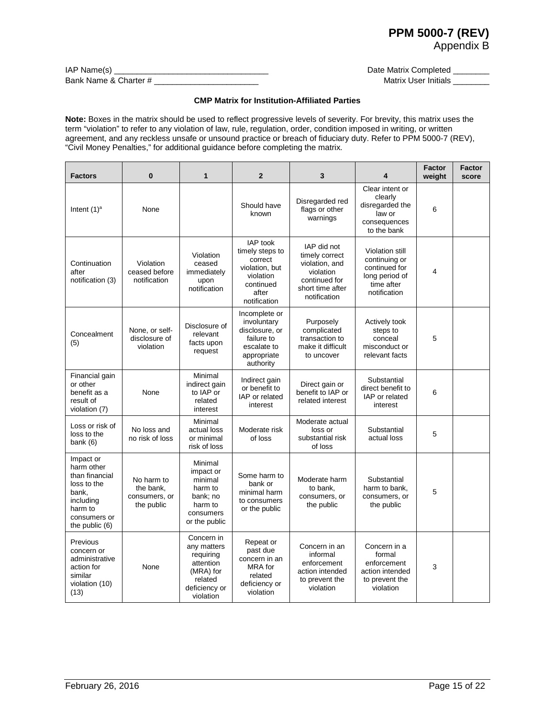## **PPM 5000-7 (REV)**

Appendix B

| $IAP$ Name(s) $\_$    |  |
|-----------------------|--|
| Bank Name & Charter # |  |

Date Matrix Completed \_\_\_\_\_\_\_\_ Matrix User Initials **Matrix User Initials** 

#### **CMP Matrix for Institution-Affiliated Parties**

**Note:** Boxes in the matrix should be used to reflect progressive levels of severity. For brevity, this matrix uses the term "violation" to refer to any violation of law, rule, regulation, order, condition imposed in writing, or written agreement, and any reckless unsafe or unsound practice or breach of fiduciary duty. Refer to PPM 5000-7 (REV), "Civil Money Penalties," for additional guidance before completing the matrix.

| <b>Factors</b>                                                                                                                | 0                                                      | 1                                                                                                         | $\overline{2}$                                                                                              | 3                                                                                                                 | 4                                                                                                 | <b>Factor</b><br>weight | <b>Factor</b><br>score |
|-------------------------------------------------------------------------------------------------------------------------------|--------------------------------------------------------|-----------------------------------------------------------------------------------------------------------|-------------------------------------------------------------------------------------------------------------|-------------------------------------------------------------------------------------------------------------------|---------------------------------------------------------------------------------------------------|-------------------------|------------------------|
| Intent $(1)^a$                                                                                                                | None                                                   |                                                                                                           | Should have<br>known                                                                                        | Disregarded red<br>flags or other<br>warnings                                                                     | Clear intent or<br>clearly<br>disregarded the<br>law or<br>consequences<br>to the bank            | 6                       |                        |
| Continuation<br>after<br>notification (3)                                                                                     | Violation<br>ceased before<br>notification             | Violation<br>ceased<br>immediately<br>upon<br>notification                                                | IAP took<br>timely steps to<br>correct<br>violation, but<br>violation<br>continued<br>after<br>notification | IAP did not<br>timely correct<br>violation, and<br>violation<br>continued for<br>short time after<br>notification | Violation still<br>continuing or<br>continued for<br>long period of<br>time after<br>notification | 4                       |                        |
| Concealment<br>(5)                                                                                                            | None, or self-<br>disclosure of<br>violation           | Disclosure of<br>relevant<br>facts upon<br>request                                                        | Incomplete or<br>involuntary<br>disclosure, or<br>failure to<br>escalate to<br>appropriate<br>authority     | Purposely<br>complicated<br>transaction to<br>make it difficult<br>to uncover                                     | Actively took<br>steps to<br>conceal<br>misconduct or<br>relevant facts                           | 5                       |                        |
| Financial gain<br>or other<br>benefit as a<br>result of<br>violation (7)                                                      | None                                                   | Minimal<br>indirect gain<br>to IAP or<br>related<br>interest                                              | Indirect gain<br>or benefit to<br>IAP or related<br>interest                                                | Direct gain or<br>benefit to IAP or<br>related interest                                                           | Substantial<br>direct benefit to<br>IAP or related<br>interest                                    | 6                       |                        |
| Loss or risk of<br>loss to the<br>bank $(6)$                                                                                  | No loss and<br>no risk of loss                         | Minimal<br>actual loss<br>or minimal<br>risk of loss                                                      | Moderate risk<br>of loss                                                                                    | Moderate actual<br>loss or<br>substantial risk<br>of loss                                                         | Substantial<br>actual loss                                                                        | 5                       |                        |
| Impact or<br>harm other<br>than financial<br>loss to the<br>bank,<br>including<br>harm to<br>consumers or<br>the public $(6)$ | No harm to<br>the bank,<br>consumers, or<br>the public | Minimal<br>impact or<br>minimal<br>harm to<br>bank; no<br>harm to<br>consumers<br>or the public           | Some harm to<br>bank or<br>minimal harm<br>to consumers<br>or the public                                    | Moderate harm<br>to bank.<br>consumers, or<br>the public                                                          | Substantial<br>harm to bank,<br>consumers, or<br>the public                                       | 5                       |                        |
| Previous<br>concern or<br>administrative<br>action for<br>similar<br>violation (10)<br>(13)                                   | None                                                   | Concern in<br>any matters<br>requiring<br>attention<br>(MRA) for<br>related<br>deficiency or<br>violation | Repeat or<br>past due<br>concern in an<br>MRA for<br>related<br>deficiency or<br>violation                  | Concern in an<br>informal<br>enforcement<br>action intended<br>to prevent the<br>violation                        | Concern in a<br>formal<br>enforcement<br>action intended<br>to prevent the<br>violation           | 3                       |                        |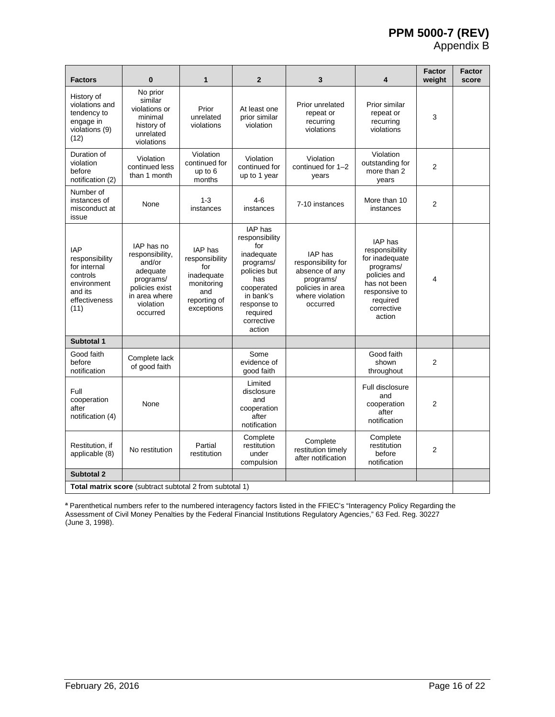## **PPM 5000-7 (REV)**

Appendix B

| <b>Factors</b>                                                                                              | $\bf{0}$                                                                                                                     | 1                                                                                                        | $\overline{2}$                                                                                                                                                          | 3                                                                                                                      | 4                                                                                                                                             | Factor<br>weight | <b>Factor</b><br>score |
|-------------------------------------------------------------------------------------------------------------|------------------------------------------------------------------------------------------------------------------------------|----------------------------------------------------------------------------------------------------------|-------------------------------------------------------------------------------------------------------------------------------------------------------------------------|------------------------------------------------------------------------------------------------------------------------|-----------------------------------------------------------------------------------------------------------------------------------------------|------------------|------------------------|
| History of<br>violations and<br>tendency to<br>engage in<br>violations (9)<br>(12)                          | No prior<br>similar<br>violations or<br>minimal<br>history of<br>unrelated<br>violations                                     | Prior<br>unrelated<br>violations                                                                         | At least one<br>prior similar<br>violation                                                                                                                              | Prior unrelated<br>repeat or<br>recurring<br>violations                                                                | Prior similar<br>repeat or<br>recurring<br>violations                                                                                         | 3                |                        |
| Duration of<br>violation<br>before<br>notification (2)                                                      | Violation<br>continued less<br>than 1 month                                                                                  | Violation<br>continued for<br>up to 6<br>months                                                          | Violation<br>continued for<br>up to 1 year                                                                                                                              | Violation<br>continued for 1-2<br>years                                                                                | Violation<br>outstanding for<br>more than 2<br>years                                                                                          | $\overline{2}$   |                        |
| Number of<br>instances of<br>misconduct at<br>issue                                                         | None                                                                                                                         | $1 - 3$<br>instances                                                                                     | $4-6$<br>instances                                                                                                                                                      | 7-10 instances                                                                                                         | More than 10<br>instances                                                                                                                     | $\overline{2}$   |                        |
| <b>IAP</b><br>responsibility<br>for internal<br>controls<br>environment<br>and its<br>effectiveness<br>(11) | IAP has no<br>responsibility,<br>and/or<br>adequate<br>programs/<br>policies exist<br>in area where<br>violation<br>occurred | <b>IAP</b> has<br>responsibility<br>for<br>inadequate<br>monitoring<br>and<br>reporting of<br>exceptions | <b>IAP</b> has<br>responsibility<br>for<br>inadequate<br>programs/<br>policies but<br>has<br>cooperated<br>in bank's<br>response to<br>required<br>corrective<br>action | <b>IAP</b> has<br>responsibility for<br>absence of any<br>programs/<br>policies in area<br>where violation<br>occurred | IAP has<br>responsibility<br>for inadequate<br>programs/<br>policies and<br>has not been<br>responsive to<br>required<br>corrective<br>action | 4                |                        |
| Subtotal 1                                                                                                  |                                                                                                                              |                                                                                                          |                                                                                                                                                                         |                                                                                                                        |                                                                                                                                               |                  |                        |
| Good faith<br>before<br>notification                                                                        | Complete lack<br>of good faith                                                                                               |                                                                                                          | Some<br>evidence of<br>good faith                                                                                                                                       |                                                                                                                        | Good faith<br>shown<br>throughout                                                                                                             | $\overline{2}$   |                        |
| Full<br>cooperation<br>after<br>notification (4)                                                            | None                                                                                                                         |                                                                                                          | Limited<br>disclosure<br>and<br>cooperation<br>after<br>notification                                                                                                    |                                                                                                                        | Full disclosure<br>and<br>cooperation<br>after<br>notification                                                                                | $\overline{2}$   |                        |
| Restitution, if<br>applicable (8)                                                                           | No restitution                                                                                                               | Partial<br>restitution                                                                                   | Complete<br>restitution<br>under<br>compulsion                                                                                                                          | Complete<br>restitution timely<br>after notification                                                                   | Complete<br>restitution<br>before<br>notification                                                                                             | $\overline{2}$   |                        |
| Subtotal 2                                                                                                  |                                                                                                                              |                                                                                                          |                                                                                                                                                                         |                                                                                                                        |                                                                                                                                               |                  |                        |
| Total matrix score (subtract subtotal 2 from subtotal 1)                                                    |                                                                                                                              |                                                                                                          |                                                                                                                                                                         |                                                                                                                        |                                                                                                                                               |                  |                        |

**<sup>a</sup>** Parenthetical numbers refer to the numbered interagency factors listed in the FFIEC's "Interagency Policy Regarding the Assessment of Civil Money Penalties by the Federal Financial Institutions Regulatory Agencies," 63 Fed. Reg. 30227 (June 3, 1998).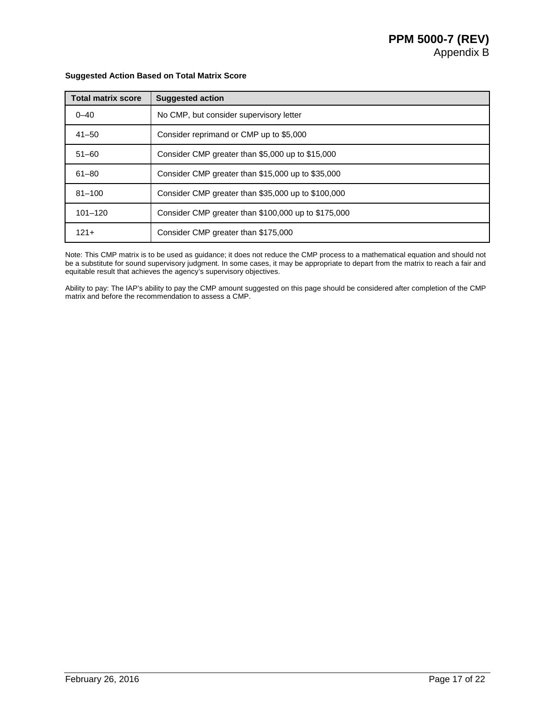| <b>Total matrix score</b> | <b>Suggested action</b>                             |
|---------------------------|-----------------------------------------------------|
| $0 - 40$                  | No CMP, but consider supervisory letter             |
| $41 - 50$                 | Consider reprimand or CMP up to \$5,000             |
| $51 - 60$                 | Consider CMP greater than \$5,000 up to \$15,000    |
| $61 - 80$                 | Consider CMP greater than \$15,000 up to \$35,000   |
| $81 - 100$                | Consider CMP greater than \$35,000 up to \$100,000  |
| $101 - 120$               | Consider CMP greater than \$100,000 up to \$175,000 |
| $121 +$                   | Consider CMP greater than \$175,000                 |

## **Suggested Action Based on Total Matrix Score**

Note: This CMP matrix is to be used as guidance; it does not reduce the CMP process to a mathematical equation and should not be a substitute for sound supervisory judgment. In some cases, it may be appropriate to depart from the matrix to reach a fair and equitable result that achieves the agency's supervisory objectives.

Ability to pay: The IAP's ability to pay the CMP amount suggested on this page should be considered after completion of the CMP matrix and before the recommendation to assess a CMP.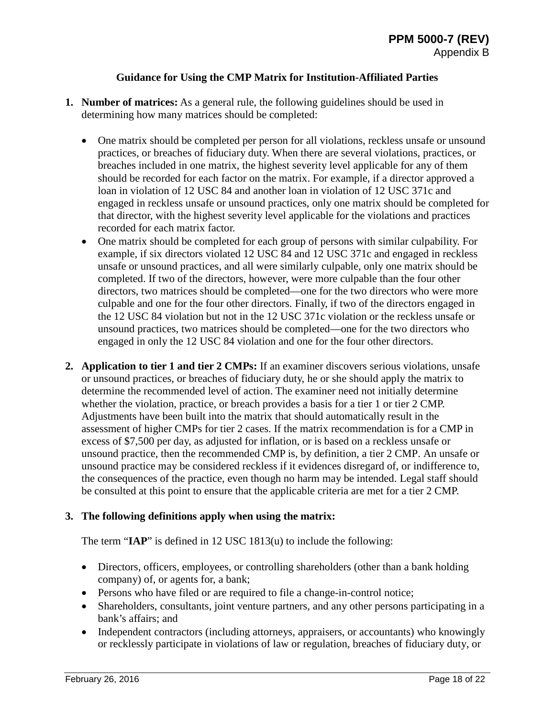## **Guidance for Using the CMP Matrix for Institution-Affiliated Parties**

- **1. Number of matrices:** As a general rule, the following guidelines should be used in determining how many matrices should be completed:
	- One matrix should be completed per person for all violations, reckless unsafe or unsound practices, or breaches of fiduciary duty. When there are several violations, practices, or breaches included in one matrix, the highest severity level applicable for any of them should be recorded for each factor on the matrix. For example, if a director approved a loan in violation of 12 USC 84 and another loan in violation of 12 USC 371c and engaged in reckless unsafe or unsound practices, only one matrix should be completed for that director, with the highest severity level applicable for the violations and practices recorded for each matrix factor.
	- One matrix should be completed for each group of persons with similar culpability. For example, if six directors violated 12 USC 84 and 12 USC 371c and engaged in reckless unsafe or unsound practices, and all were similarly culpable, only one matrix should be completed. If two of the directors, however, were more culpable than the four other directors, two matrices should be completed—one for the two directors who were more culpable and one for the four other directors. Finally, if two of the directors engaged in the 12 USC 84 violation but not in the 12 USC 371c violation or the reckless unsafe or unsound practices, two matrices should be completed—one for the two directors who engaged in only the 12 USC 84 violation and one for the four other directors.
- **2. Application to tier 1 and tier 2 CMPs:** If an examiner discovers serious violations, unsafe or unsound practices, or breaches of fiduciary duty, he or she should apply the matrix to determine the recommended level of action. The examiner need not initially determine whether the violation, practice, or breach provides a basis for a tier 1 or tier 2 CMP. Adjustments have been built into the matrix that should automatically result in the assessment of higher CMPs for tier 2 cases. If the matrix recommendation is for a CMP in excess of \$7,500 per day, as adjusted for inflation, or is based on a reckless unsafe or unsound practice, then the recommended CMP is, by definition, a tier 2 CMP. An unsafe or unsound practice may be considered reckless if it evidences disregard of, or indifference to, the consequences of the practice, even though no harm may be intended. Legal staff should be consulted at this point to ensure that the applicable criteria are met for a tier 2 CMP.

## **3. The following definitions apply when using the matrix:**

The term "**IAP**" is defined in 12 USC 1813(u) to include the following:

- Directors, officers, employees, or controlling shareholders (other than a bank holding company) of, or agents for, a bank;
- Persons who have filed or are required to file a change-in-control notice;
- Shareholders, consultants, joint venture partners, and any other persons participating in a bank's affairs; and
- Independent contractors (including attorneys, appraisers, or accountants) who knowingly or recklessly participate in violations of law or regulation, breaches of fiduciary duty, or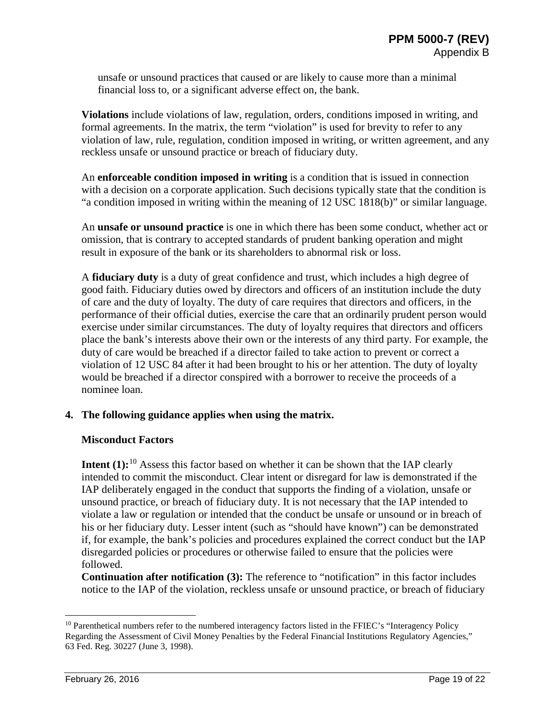unsafe or unsound practices that caused or are likely to cause more than a minimal financial loss to, or a significant adverse effect on, the bank.

**Violations** include violations of law, regulation, orders, conditions imposed in writing, and formal agreements. In the matrix, the term "violation" is used for brevity to refer to any violation of law, rule, regulation, condition imposed in writing, or written agreement, and any reckless unsafe or unsound practice or breach of fiduciary duty.

An **enforceable condition imposed in writing** is a condition that is issued in connection with a decision on a corporate application. Such decisions typically state that the condition is "a condition imposed in writing within the meaning of 12 USC 1818(b)" or similar language.

An **unsafe or unsound practice** is one in which there has been some conduct, whether act or omission, that is contrary to accepted standards of prudent banking operation and might result in exposure of the bank or its shareholders to abnormal risk or loss.

A **fiduciary duty** is a duty of great confidence and trust, which includes a high degree of good faith. Fiduciary duties owed by directors and officers of an institution include the duty of care and the duty of loyalty. The duty of care requires that directors and officers, in the performance of their official duties, exercise the care that an ordinarily prudent person would exercise under similar circumstances. The duty of loyalty requires that directors and officers place the bank's interests above their own or the interests of any third party. For example, the duty of care would be breached if a director failed to take action to prevent or correct a violation of 12 USC 84 after it had been brought to his or her attention. The duty of loyalty would be breached if a director conspired with a borrower to receive the proceeds of a nominee loan.

## **4. The following guidance applies when using the matrix.**

## **Misconduct Factors**

**Intent (1):**<sup>[10](#page-18-0)</sup> Assess this factor based on whether it can be shown that the IAP clearly intended to commit the misconduct. Clear intent or disregard for law is demonstrated if the IAP deliberately engaged in the conduct that supports the finding of a violation, unsafe or unsound practice, or breach of fiduciary duty. It is not necessary that the IAP intended to violate a law or regulation or intended that the conduct be unsafe or unsound or in breach of his or her fiduciary duty. Lesser intent (such as "should have known") can be demonstrated if, for example, the bank's policies and procedures explained the correct conduct but the IAP disregarded policies or procedures or otherwise failed to ensure that the policies were followed.

**Continuation after notification (3):** The reference to "notification" in this factor includes notice to the IAP of the violation, reckless unsafe or unsound practice, or breach of fiduciary

<span id="page-18-0"></span><sup>&</sup>lt;sup>10</sup> Parenthetical numbers refer to the numbered interagency factors listed in the FFIEC's "Interagency Policy Regarding the Assessment of Civil Money Penalties by the Federal Financial Institutions Regulatory Agencies," 63 Fed. Reg. 30227 (June 3, 1998).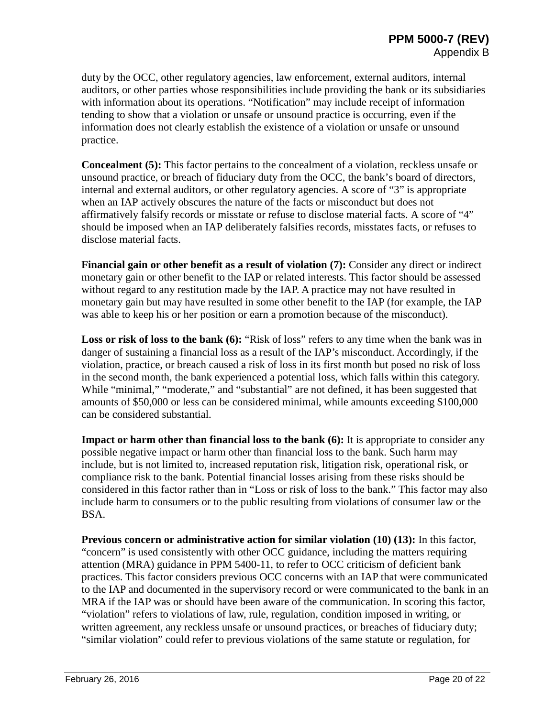duty by the OCC, other regulatory agencies, law enforcement, external auditors, internal auditors, or other parties whose responsibilities include providing the bank or its subsidiaries with information about its operations. "Notification" may include receipt of information tending to show that a violation or unsafe or unsound practice is occurring, even if the information does not clearly establish the existence of a violation or unsafe or unsound practice.

**Concealment (5):** This factor pertains to the concealment of a violation, reckless unsafe or unsound practice, or breach of fiduciary duty from the OCC, the bank's board of directors, internal and external auditors, or other regulatory agencies. A score of "3" is appropriate when an IAP actively obscures the nature of the facts or misconduct but does not affirmatively falsify records or misstate or refuse to disclose material facts. A score of "4" should be imposed when an IAP deliberately falsifies records, misstates facts, or refuses to disclose material facts.

**Financial gain or other benefit as a result of violation (7):** Consider any direct or indirect monetary gain or other benefit to the IAP or related interests. This factor should be assessed without regard to any restitution made by the IAP. A practice may not have resulted in monetary gain but may have resulted in some other benefit to the IAP (for example, the IAP was able to keep his or her position or earn a promotion because of the misconduct).

**Loss or risk of loss to the bank (6):** "Risk of loss" refers to any time when the bank was in danger of sustaining a financial loss as a result of the IAP's misconduct. Accordingly, if the violation, practice, or breach caused a risk of loss in its first month but posed no risk of loss in the second month, the bank experienced a potential loss, which falls within this category. While "minimal," "moderate," and "substantial" are not defined, it has been suggested that amounts of \$50,000 or less can be considered minimal, while amounts exceeding \$100,000 can be considered substantial.

**Impact or harm other than financial loss to the bank (6):** It is appropriate to consider any possible negative impact or harm other than financial loss to the bank. Such harm may include, but is not limited to, increased reputation risk, litigation risk, operational risk, or compliance risk to the bank. Potential financial losses arising from these risks should be considered in this factor rather than in "Loss or risk of loss to the bank." This factor may also include harm to consumers or to the public resulting from violations of consumer law or the BSA.

**Previous concern or administrative action for similar violation (10) (13):** In this factor, "concern" is used consistently with other OCC guidance, including the matters requiring attention (MRA) guidance in PPM 5400-11, to refer to OCC criticism of deficient bank practices. This factor considers previous OCC concerns with an IAP that were communicated to the IAP and documented in the supervisory record or were communicated to the bank in an MRA if the IAP was or should have been aware of the communication. In scoring this factor, "violation" refers to violations of law, rule, regulation, condition imposed in writing, or written agreement, any reckless unsafe or unsound practices, or breaches of fiduciary duty; "similar violation" could refer to previous violations of the same statute or regulation, for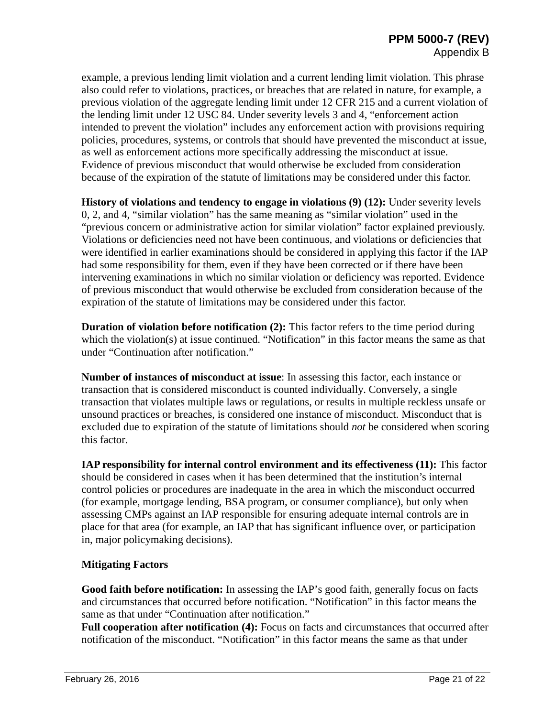example, a previous lending limit violation and a current lending limit violation. This phrase also could refer to violations, practices, or breaches that are related in nature, for example, a previous violation of the aggregate lending limit under 12 CFR 215 and a current violation of the lending limit under 12 USC 84. Under severity levels 3 and 4, "enforcement action intended to prevent the violation" includes any enforcement action with provisions requiring policies, procedures, systems, or controls that should have prevented the misconduct at issue, as well as enforcement actions more specifically addressing the misconduct at issue. Evidence of previous misconduct that would otherwise be excluded from consideration because of the expiration of the statute of limitations may be considered under this factor.

**History of violations and tendency to engage in violations (9) (12):** Under severity levels 0, 2, and 4, "similar violation" has the same meaning as "similar violation" used in the "previous concern or administrative action for similar violation" factor explained previously. Violations or deficiencies need not have been continuous, and violations or deficiencies that were identified in earlier examinations should be considered in applying this factor if the IAP had some responsibility for them, even if they have been corrected or if there have been intervening examinations in which no similar violation or deficiency was reported. Evidence of previous misconduct that would otherwise be excluded from consideration because of the expiration of the statute of limitations may be considered under this factor.

**Duration of violation before notification (2):** This factor refers to the time period during which the violation(s) at issue continued. "Notification" in this factor means the same as that under "Continuation after notification."

**Number of instances of misconduct at issue**: In assessing this factor, each instance or transaction that is considered misconduct is counted individually. Conversely, a single transaction that violates multiple laws or regulations, or results in multiple reckless unsafe or unsound practices or breaches, is considered one instance of misconduct. Misconduct that is excluded due to expiration of the statute of limitations should *not* be considered when scoring this factor.

**IAP responsibility for internal control environment and its effectiveness (11):** This factor should be considered in cases when it has been determined that the institution's internal control policies or procedures are inadequate in the area in which the misconduct occurred (for example, mortgage lending, BSA program, or consumer compliance), but only when assessing CMPs against an IAP responsible for ensuring adequate internal controls are in place for that area (for example, an IAP that has significant influence over, or participation in, major policymaking decisions).

## **Mitigating Factors**

**Good faith before notification:** In assessing the IAP's good faith, generally focus on facts and circumstances that occurred before notification. "Notification" in this factor means the same as that under "Continuation after notification."

Full cooperation after notification (4): Focus on facts and circumstances that occurred after notification of the misconduct. "Notification" in this factor means the same as that under